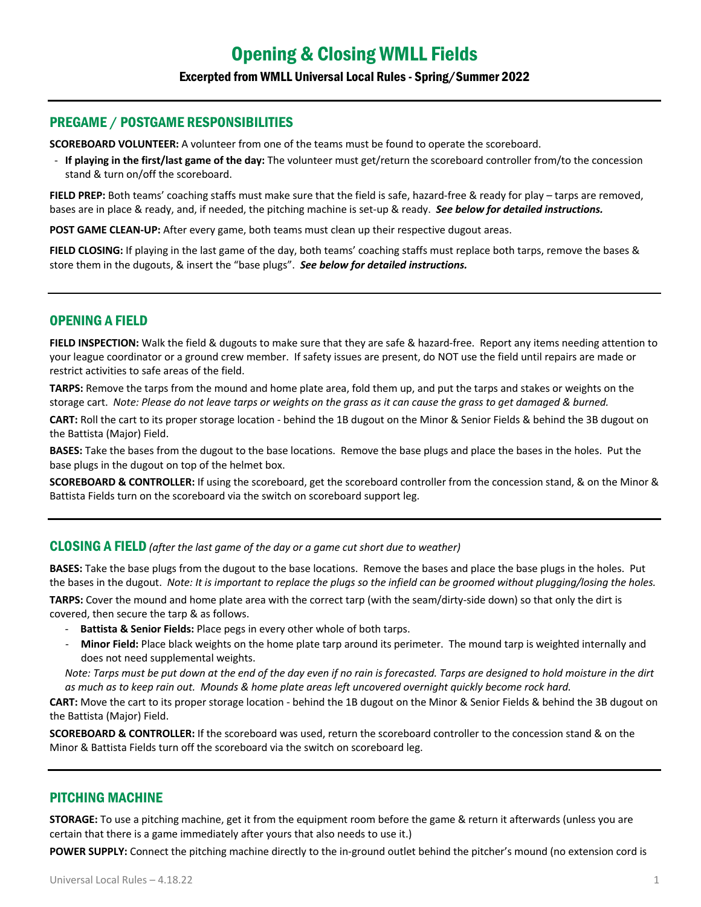#### Excerpted from WMLL Universal Local Rules - Spring/Summer 2022

#### PREGAME / POSTGAME RESPONSIBILITIES

**SCOREBOARD VOLUNTEER:** A volunteer from one of the teams must be found to operate the scoreboard.

- **If playing in the first/last game of the day:** The volunteer must get/return the scoreboard controller from/to the concession stand & turn on/off the scoreboard.

**FIELD PREP:** Both teams' coaching staffs must make sure that the field is safe, hazard-free & ready for play – tarps are removed, bases are in place & ready, and, if needed, the pitching machine is set-up & ready. *See below for detailed instructions.*

**POST GAME CLEAN-UP:** After every game, both teams must clean up their respective dugout areas.

**FIELD CLOSING:** If playing in the last game of the day, both teams' coaching staffs must replace both tarps, remove the bases & store them in the dugouts, & insert the "base plugs". *See below for detailed instructions.*

## OPENING A FIELD

**FIELD INSPECTION:** Walk the field & dugouts to make sure that they are safe & hazard-free. Report any items needing attention to your league coordinator or a ground crew member. If safety issues are present, do NOT use the field until repairs are made or restrict activities to safe areas of the field.

**TARPS:** Remove the tarps from the mound and home plate area, fold them up, and put the tarps and stakes or weights on the storage cart. *Note: Please do not leave tarps or weights on the grass as it can cause the grass to get damaged & burned.*

**CART:** Roll the cart to its proper storage location - behind the 1B dugout on the Minor & Senior Fields & behind the 3B dugout on the Battista (Major) Field.

**BASES:** Take the bases from the dugout to the base locations. Remove the base plugs and place the bases in the holes. Put the base plugs in the dugout on top of the helmet box.

**SCOREBOARD & CONTROLLER:** If using the scoreboard, get the scoreboard controller from the concession stand, & on the Minor & Battista Fields turn on the scoreboard via the switch on scoreboard support leg.

CLOSING A FIELD *(after the last game of the day or a game cut short due to weather)*

**BASES:** Take the base plugs from the dugout to the base locations. Remove the bases and place the base plugs in the holes. Put the bases in the dugout. *Note: It is important to replace the plugs so the infield can be groomed without plugging/losing the holes.*

**TARPS:** Cover the mound and home plate area with the correct tarp (with the seam/dirty-side down) so that only the dirt is covered, then secure the tarp & as follows.

- Battista & Senior Fields: Place pegs in every other whole of both tarps.
- **Minor Field:** Place black weights on the home plate tarp around its perimeter. The mound tarp is weighted internally and does not need supplemental weights.

*Note: Tarps must be put down at the end of the day even if no rain is forecasted. Tarps are designed to hold moisture in the dirt as much as to keep rain out. Mounds & home plate areas left uncovered overnight quickly become rock hard.* 

**CART:** Move the cart to its proper storage location - behind the 1B dugout on the Minor & Senior Fields & behind the 3B dugout on the Battista (Major) Field.

**SCOREBOARD & CONTROLLER:** If the scoreboard was used, return the scoreboard controller to the concession stand & on the Minor & Battista Fields turn off the scoreboard via the switch on scoreboard leg.

## PITCHING MACHINE

**STORAGE:** To use a pitching machine, get it from the equipment room before the game & return it afterwards (unless you are certain that there is a game immediately after yours that also needs to use it.)

**POWER SUPPLY:** Connect the pitching machine directly to the in-ground outlet behind the pitcher's mound (no extension cord is